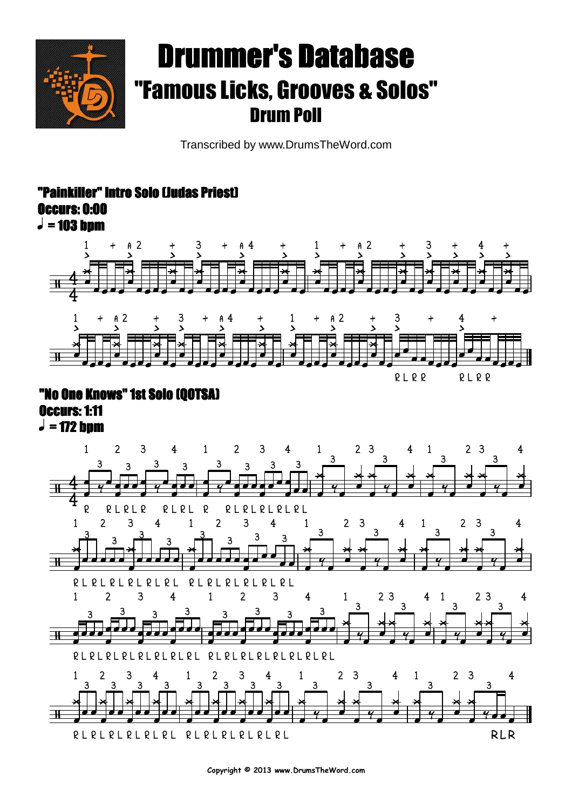

# Drummer's Database"Famous Licks, Grooves & Solos" Drum Poll

Transcribed by www.DrumsTheWord.com

### "Painkiller" Intro Solo (Judas Priest) Occurs: 0:00





## "No One Knows" 1st Solo (QOTSA) Occurs: 1:11



**Copyright © 2013 www.DrumsTheWord.com**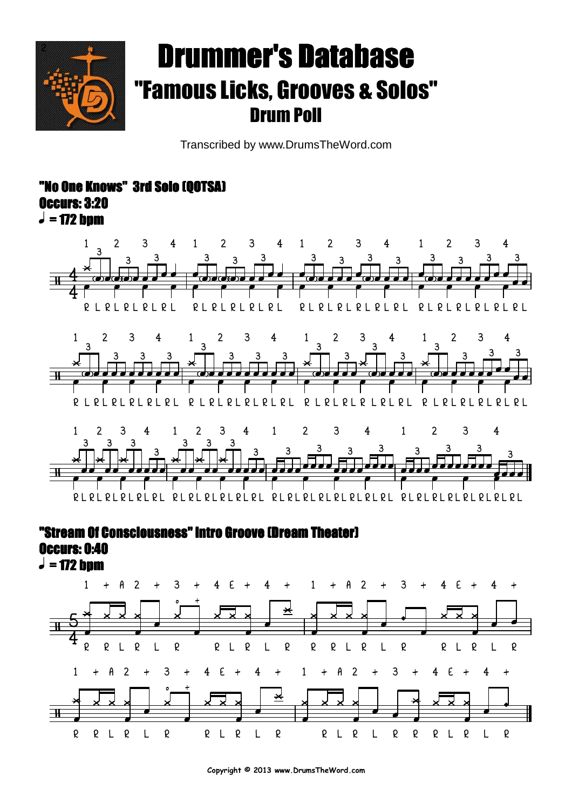

# Drummer's Database"Famous Licks, Grooves & Solos" Drum Poll

Transcribed by www.DrumsTheWord.com

### o One Knows" 3rd Solo (OOTSA) Occurs: 3:20



#### "Stream Of Consciousness" Intro Groove (Dream Theater) Occurs: 0:40

 $\boldsymbol{J}$  = 172 bpm

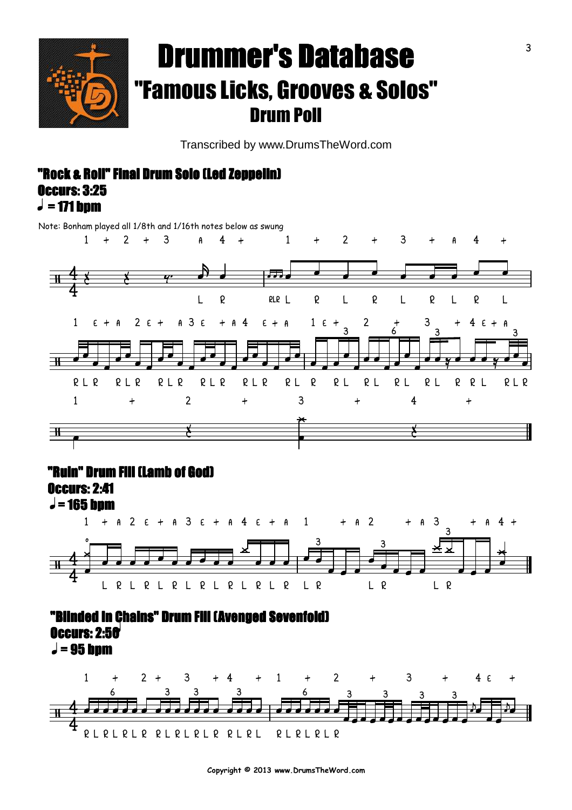

## Drummer's Database"Famous Licks, Grooves & Solos" Drum Poll

Transcribed by www.DrumsTheWord.com

#### $\boldsymbol{J}$  = 171 bpm "Rock & Roll" Final Drum Solo (Led Zeppelin) Occurs: 3:25

Note: Bonham played all 1/8th and 1/16th notes below as swung



#### "Ruin" Drum Fill (Lamb of God)

Occurs: 2:41



### $J = 95$  bpm "Blinded In Chains" Drum Fill (Avenged Sevenfold) **Occurs: 2:50**



**Copyright © 2013 www.DrumsTheWord.com**